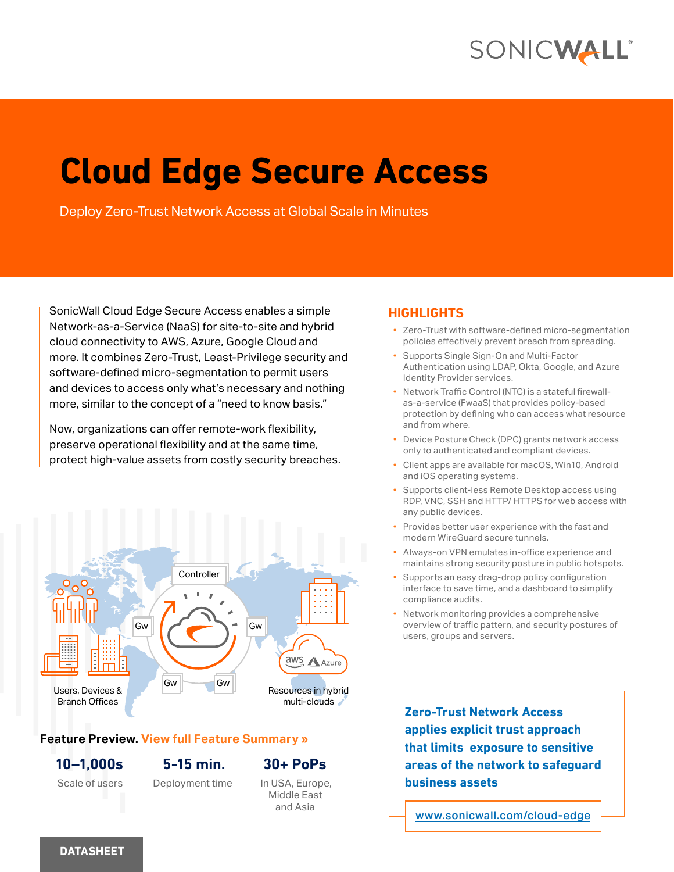

# **Cloud Edge Secure Access**

Deploy Zero-Trust Network Access at Global Scale in Minutes

SonicWall Cloud Edge Secure Access enables a simple Network-as-a-Service (NaaS) for site-to-site and hybrid cloud connectivity to AWS, Azure, Google Cloud and more. It combines Zero-Trust, Least-Privilege security and software-defined micro-segmentation to permit users and devices to access only what's necessary and nothing more, similar to the concept of a "need to know basis."

Now, organizations can offer remote-work flexibility, preserve operational flexibility and at the same time, protect high-value assets from costly security breaches.



## **Feature Preview. [View full Feature Summary »](#page-3-0)**

## **10–1,000s 5-15 min. 30+ PoPs**

Scale of users Deployment time In USA, Europe, Middle East and Asia

## **HIGHLIGHTS**

- Zero-Trust with software-defined micro-segmentation policies effectively prevent breach from spreading.
- Supports Single Sign-On and Multi-Factor Authentication using LDAP, Okta, Google, and Azure Identity Provider services.
- Network Traffic Control (NTC) is a stateful firewallas-a-service (FwaaS) that provides policy-based protection by defining who can access what resource and from where.
- Device Posture Check (DPC) grants network access only to authenticated and compliant devices.
- Client apps are available for macOS, Win10, Android and iOS operating systems.
- Supports client-less Remote Desktop access using RDP, VNC, SSH and HTTP/ HTTPS for web access with any public devices.
- Provides better user experience with the fast and modern WireGuard secure tunnels.
- Always-on VPN emulates in-office experience and maintains strong security posture in public hotspots.
- Supports an easy drag-drop policy configuration interface to save time, and a dashboard to simplify compliance audits.
- Network monitoring provides a comprehensive overview of traffic pattern, and security postures of users, groups and servers.

**Zero-Trust Network Access applies explicit trust approach that limits exposure to sensitive areas of the network to safeguard business assets**

[www.sonicwall.com/cloud-edge](https://www.sonicwall.com/cloud-edge)

#### **DATASHEET**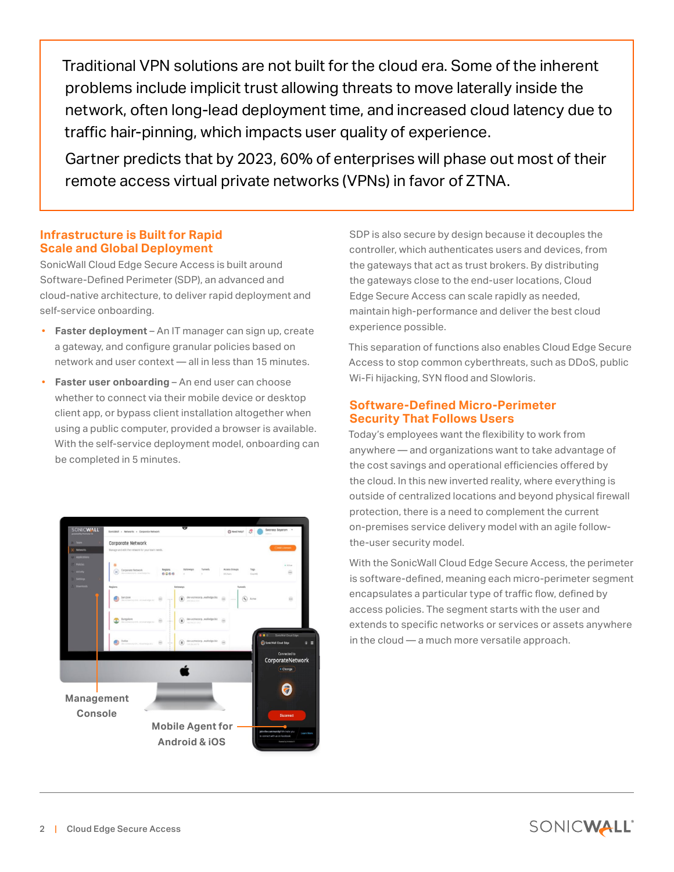Traditional VPN solutions are not built for the cloud era. Some of the inherent problems include implicit trust allowing threats to move laterally inside the network, often long-lead deployment time, and increased cloud latency due to traffic hair-pinning, which impacts user quality of experience.

Gartner predicts that by 2023, 60% of enterprises will phase out most of their remote access virtual private networks (VPNs) in favor of ZTNA.

#### **Infrastructure is Built for Rapid Scale and Global Deployment**

SonicWall Cloud Edge Secure Access is built around Software-Defined Perimeter (SDP), an advanced and cloud-native architecture, to deliver rapid deployment and self-service onboarding.

- **Faster deployment** An IT manager can sign up, create a gateway, and configure granular policies based on network and user context — all in less than 15 minutes.
- **Faster user onboarding** An end user can choose whether to connect via their mobile device or desktop client app, or bypass client installation altogether when using a public computer, provided a browser is available. With the self-service deployment model, onboarding can be completed in 5 minutes.



SDP is also secure by design because it decouples the controller, which authenticates users and devices, from the gateways that act as trust brokers. By distributing the gateways close to the end-user locations, Cloud Edge Secure Access can scale rapidly as needed, maintain high-performance and deliver the best cloud experience possible.

This separation of functions also enables Cloud Edge Secure Access to stop common cyberthreats, such as DDoS, public Wi-Fi hijacking, SYN flood and Slowloris.

#### **Software-Defined Micro‑Perimeter Security That Follows Users**

Today's employees want the flexibility to work from anywhere — and organizations want to take advantage of the cost savings and operational efficiencies offered by the cloud. In this new inverted reality, where everything is outside of centralized locations and beyond physical firewall protection, there is a need to complement the current on-premises service delivery model with an agile followthe-user security model.

With the SonicWall Cloud Edge Secure Access, the perimeter is software-defined, meaning each micro-perimeter segment encapsulates a particular type of traffic flow, defined by access policies. The segment starts with the user and extends to specific networks or services or assets anywhere in the cloud — a much more versatile approach.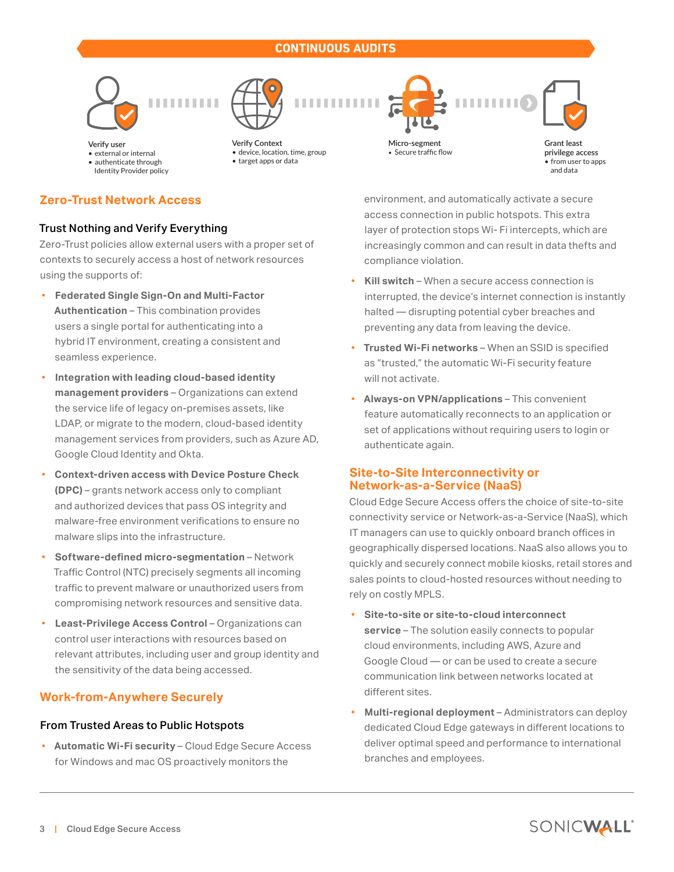#### **CONTINUOUS AUDITS**



• external or internal • authenticate through Identity Provider policy

# **Verify Context**

• device, location, time, group • target apps or data

## **Zero-Trust Network Access**

#### Trust Nothing and Verify Everything

Zero-Trust policies allow external users with a proper set of contexts to securely access a host of network resources using the supports of:

- **Federated Single Sign-On and Multi-Factor Authentication** – This combination provides users a single portal for authenticating into a hybrid IT environment, creating a consistent and seamless experience.
- **Integration with leading cloud-based identity management providers** – Organizations can extend the service life of legacy on-premises assets, like LDAP, or migrate to the modern, cloud-based identity management services from providers, such as Azure AD, Google Cloud Identity and Okta.
- **Context-driven access with Device Posture Check (DPC)** – grants network access only to compliant and authorized devices that pass OS integrity and malware-free environment verifications to ensure no malware slips into the infrastructure.
- **Software-defined micro-segmentation** Network Traffic Control (NTC) precisely segments all incoming traffic to prevent malware or unauthorized users from compromising network resources and sensitive data.
- **Least-Privilege Access Control** Organizations can control user interactions with resources based on relevant attributes, including user and group identity and the sensitivity of the data being accessed.

## **Work-from-Anywhere Securely**

#### From Trusted Areas to Public Hotspots

• **Automatic Wi-Fi security** – Cloud Edge Secure Access for Windows and mac OS proactively monitors the

environment, and automatically activate a secure access connection in public hotspots. This extra layer of protection stops Wi- Fi intercepts, which are increasingly common and can result in data thefts and compliance violation.

**Grant least privilege access** • from user to apps and data

**Micro-segment**  • Secure traffic flow

- **Kill switch** When a secure access connection is interrupted, the device's internet connection is instantly halted — disrupting potential cyber breaches and preventing any data from leaving the device.
- **Trusted Wi-Fi networks** When an SSID is specified as "trusted," the automatic Wi-Fi security feature will not activate.
- **Always-on VPN/applications** This convenient feature automatically reconnects to an application or set of applications without requiring users to login or authenticate again.

## **Site-to-Site Interconnectivity or Network-as-a-Service (NaaS)**

Cloud Edge Secure Access offers the choice of site-to-site connectivity service or Network-as-a-Service (NaaS), which IT managers can use to quickly onboard branch offices in geographically dispersed locations. NaaS also allows you to quickly and securely connect mobile kiosks, retail stores and sales points to cloud-hosted resources without needing to rely on costly MPLS.

- **Site-to-site or site-to-cloud interconnect service** – The solution easily connects to popular cloud environments, including AWS, Azure and Google Cloud — or can be used to create a secure communication link between networks located at different sites.
- **Multi-regional deployment** Administrators can deploy dedicated Cloud Edge gateways in different locations to deliver optimal speed and performance to international branches and employees.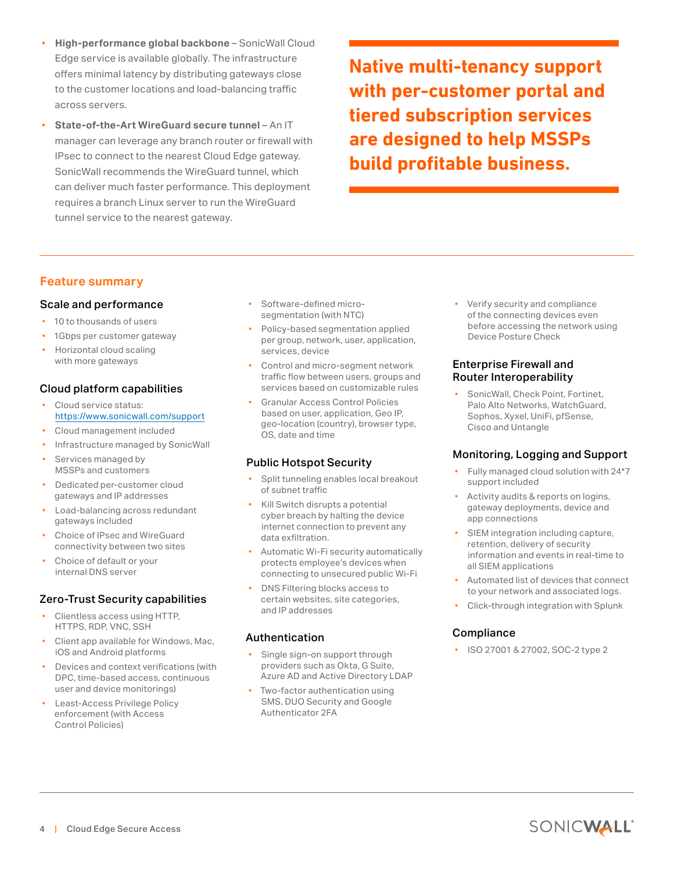- <span id="page-3-0"></span>• **High-performance global backbone** – SonicWall Cloud Edge service is available globally. The infrastructure offers minimal latency by distributing gateways close to the customer locations and load-balancing traffic across servers.
- **State-of-the-Art WireGuard secure tunnel** An IT manager can leverage any branch router or firewall with IPsec to connect to the nearest Cloud Edge gateway. SonicWall recommends the WireGuard tunnel, which can deliver much faster performance. This deployment requires a branch Linux server to run the WireGuard tunnel service to the nearest gateway.

**Native multi-tenancy support with per-customer portal and tiered subscription services are designed to help MSSPs build profitable business.**

#### **Feature summary**

#### Scale and performance

- 10 to thousands of users
- 1Gbps per customer gateway
- Horizontal cloud scaling with more gateways

#### Cloud platform capabilities

- Cloud service status: [https://www.sonicwall.com/support](https://www.sonicwall.com/support )
- Cloud management included
- Infrastructure managed by SonicWall
- Services managed by MSSPs and customers
- Dedicated per-customer cloud gateways and IP addresses
- Load-balancing across redundant gateways included
- Choice of IPsec and WireGuard connectivity between two sites
- Choice of default or your internal DNS server

#### Zero-Trust Security capabilities

- Clientless access using HTTP, HTTPS, RDP, VNC, SSH
- Client app available for Windows, Mac, iOS and Android platforms
- Devices and context verifications (with DPC, time-based access, continuous user and device monitorings)
- Least-Access Privilege Policy enforcement (with Access Control Policies)
- Software-defined microsegmentation (with NTC)
- Policy-based segmentation applied per group, network, user, application, services, device
- Control and micro-segment network traffic flow between users, groups and services based on customizable rules
- Granular Access Control Policies based on user, application, Geo IP, geo-location (country), browser type, OS, date and time

#### Public Hotspot Security

- Split tunneling enables local breakout of subnet traffic
- Kill Switch disrupts a potential cyber breach by halting the device internet connection to prevent any data exfiltration.
- Automatic Wi-Fi security automatically protects employee's devices when connecting to unsecured public Wi-Fi
- DNS Filtering blocks access to certain websites, site categories, and IP addresses

#### Authentication

- Single sign-on support through providers such as Okta, G Suite, Azure AD and Active Directory LDAP
- Two-factor authentication using SMS, DUO Security and Google Authenticator 2FA

• Verify security and compliance of the connecting devices even before accessing the network using Device Posture Check

#### Enterprise Firewall and Router Interoperability

SonicWall, Check Point, Fortinet, Palo Alto Networks, WatchGuard, Sophos, Xyxel, UniFi, pfSense, Cisco and Untangle

#### Monitoring, Logging and Support

- Fully managed cloud solution with 24\*7 support included
- Activity audits & reports on logins, gateway deployments, device and app connections
- SIEM integration including capture, retention, delivery of security information and events in real-time to all SIEM applications
- Automated list of devices that connect to your network and associated logs.
- Click-through integration with Splunk

#### **Compliance**

• ISO 27001 & 27002, SOC-2 type 2